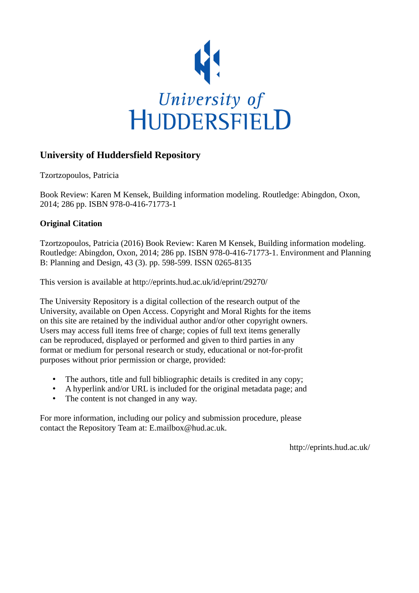

## **University of Huddersfield Repository**

Tzortzopoulos, Patricia

Book Review: Karen M Kensek, Building information modeling. Routledge: Abingdon, Oxon, 2014; 286 pp. ISBN 978-0-416-71773-1

## **Original Citation**

Tzortzopoulos, Patricia (2016) Book Review: Karen M Kensek, Building information modeling. Routledge: Abingdon, Oxon, 2014; 286 pp. ISBN 978-0-416-71773-1. Environment and Planning B: Planning and Design, 43 (3). pp. 598-599. ISSN 0265-8135

This version is available at http://eprints.hud.ac.uk/id/eprint/29270/

The University Repository is a digital collection of the research output of the University, available on Open Access. Copyright and Moral Rights for the items on this site are retained by the individual author and/or other copyright owners. Users may access full items free of charge; copies of full text items generally can be reproduced, displayed or performed and given to third parties in any format or medium for personal research or study, educational or not-for-profit purposes without prior permission or charge, provided:

- The authors, title and full bibliographic details is credited in any copy;
- A hyperlink and/or URL is included for the original metadata page; and
- The content is not changed in any way.

For more information, including our policy and submission procedure, please contact the Repository Team at: E.mailbox@hud.ac.uk.

http://eprints.hud.ac.uk/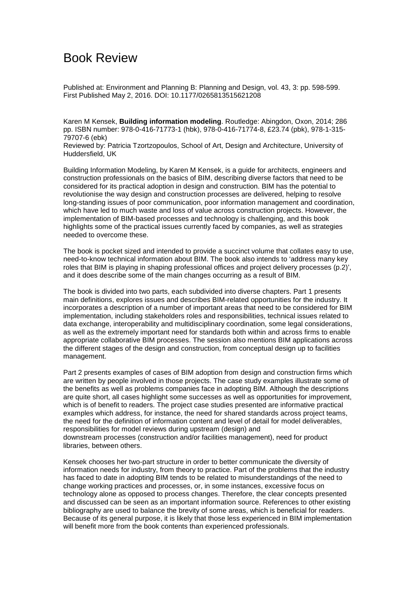## Book Review

Published at: Environment and Planning B: Planning and Design, vol. 43, 3: pp. 598-599. First Published May 2, 2016. DOI: 10.1177/0265813515621208

Karen M Kensek, **Building information modeling**. Routledge: Abingdon, Oxon, 2014; 286 pp. ISBN number: 978-0-416-71773-1 (hbk), 978-0-416-71774-8, £23.74 (pbk), 978-1-315- 79707-6 (ebk)

Reviewed by: Patricia Tzortzopoulos, School of Art, Design and Architecture, University of Huddersfield, UK

Building Information Modeling, by Karen M Kensek, is a guide for architects, engineers and construction professionals on the basics of BIM, describing diverse factors that need to be considered for its practical adoption in design and construction. BIM has the potential to revolutionise the way design and construction processes are delivered, helping to resolve long-standing issues of poor communication, poor information management and coordination, which have led to much waste and loss of value across construction projects. However, the implementation of BIM-based processes and technology is challenging, and this book highlights some of the practical issues currently faced by companies, as well as strategies needed to overcome these.

The book is pocket sized and intended to provide a succinct volume that collates easy to use, need-to-know technical information about BIM. The book also intends to 'address many key roles that BIM is playing in shaping professional offices and project delivery processes (p.2)', and it does describe some of the main changes occurring as a result of BIM.

The book is divided into two parts, each subdivided into diverse chapters. Part 1 presents main definitions, explores issues and describes BIM-related opportunities for the industry. It incorporates a description of a number of important areas that need to be considered for BIM implementation, including stakeholders roles and responsibilities, technical issues related to data exchange, interoperability and multidisciplinary coordination, some legal considerations, as well as the extremely important need for standards both within and across firms to enable appropriate collaborative BIM processes. The session also mentions BIM applications across the different stages of the design and construction, from conceptual design up to facilities management.

Part 2 presents examples of cases of BIM adoption from design and construction firms which are written by people involved in those projects. The case study examples illustrate some of the benefits as well as problems companies face in adopting BIM. Although the descriptions are quite short, all cases highlight some successes as well as opportunities for improvement, which is of benefit to readers. The project case studies presented are informative practical examples which address, for instance, the need for shared standards across project teams, the need for the definition of information content and level of detail for model deliverables, responsibilities for model reviews during upstream (design) and downstream processes (construction and/or facilities management), need for product libraries, between others.

Kensek chooses her two-part structure in order to better communicate the diversity of information needs for industry, from theory to practice. Part of the problems that the industry has faced to date in adopting BIM tends to be related to misunderstandings of the need to change working practices and processes, or, in some instances, excessive focus on technology alone as opposed to process changes. Therefore, the clear concepts presented and discussed can be seen as an important information source. References to other existing bibliography are used to balance the brevity of some areas, which is beneficial for readers. Because of its general purpose, it is likely that those less experienced in BIM implementation will benefit more from the book contents than experienced professionals.